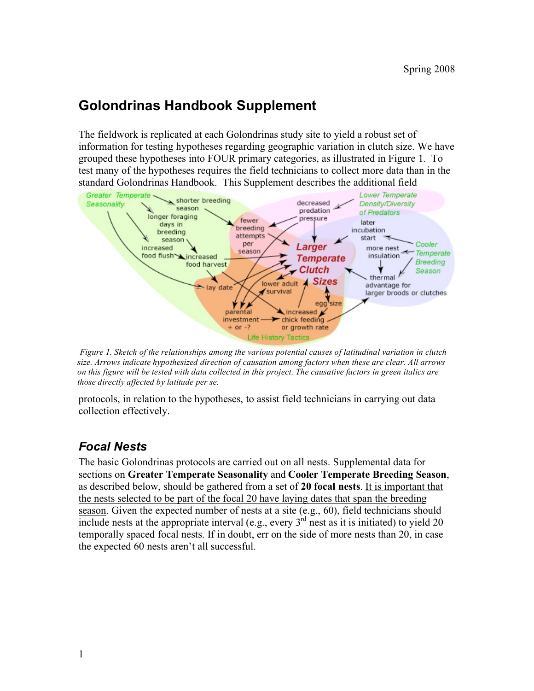## **Golondrinas Handbook Supplement**

The fieldwork is replicated at each Golondrinas study site to yield a robust set of information for testing hypotheses regarding geographic variation in clutch size. We have grouped these hypotheses into FOUR primary categories, as illustrated in Figure 1. To test many of the hypotheses requires the field technicians to collect more data than in the standard Golondrinas Handbook. This Supplement describes the additional field



*Figure 1. Sketch of the relationships among the various potential causes of latitudinal variation in clutch size. Arrows indicate hypothesized direction of causation among factors when these are clear. All arrows on this figure will be tested with data collected in this project. The causative factors in green italics are those directly affected by latitude per se.*

protocols, in relation to the hypotheses, to assist field technicians in carrying out data collection effectively.

## *Focal Nests*

The basic Golondrinas protocols are carried out on all nests. Supplemental data for sections on **Greater Temperate Seasonality** and **Cooler Temperate Breeding Season**, as described below, should be gathered from a set of **20 focal nests**. It is important that the nests selected to be part of the focal 20 have laying dates that span the breeding season. Given the expected number of nests at a site (e.g., 60), field technicians should include nests at the appropriate interval (e.g., every  $3<sup>rd</sup>$  nest as it is initiated) to yield 20 temporally spaced focal nests. If in doubt, err on the side of more nests than 20, in case the expected 60 nests aren't all successful.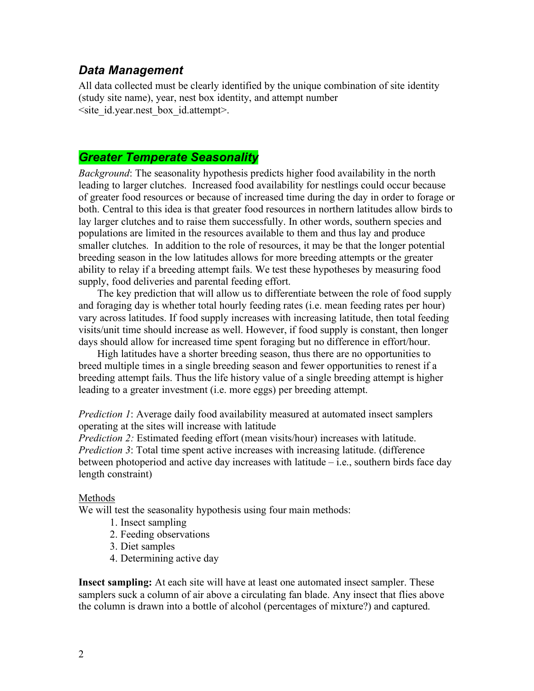### *Data Management*

All data collected must be clearly identified by the unique combination of site identity (study site name), year, nest box identity, and attempt number <site\_id.year.nest\_box\_id.attempt>.

## *Greater Temperate Seasonality*

*Background*: The seasonality hypothesis predicts higher food availability in the north leading to larger clutches. Increased food availability for nestlings could occur because of greater food resources or because of increased time during the day in order to forage or both. Central to this idea is that greater food resources in northern latitudes allow birds to lay larger clutches and to raise them successfully. In other words, southern species and populations are limited in the resources available to them and thus lay and produce smaller clutches. In addition to the role of resources, it may be that the longer potential breeding season in the low latitudes allows for more breeding attempts or the greater ability to relay if a breeding attempt fails. We test these hypotheses by measuring food supply, food deliveries and parental feeding effort.

The key prediction that will allow us to differentiate between the role of food supply and foraging day is whether total hourly feeding rates (i.e. mean feeding rates per hour) vary across latitudes. If food supply increases with increasing latitude, then total feeding visits/unit time should increase as well. However, if food supply is constant, then longer days should allow for increased time spent foraging but no difference in effort/hour.

High latitudes have a shorter breeding season, thus there are no opportunities to breed multiple times in a single breeding season and fewer opportunities to renest if a breeding attempt fails. Thus the life history value of a single breeding attempt is higher leading to a greater investment (i.e. more eggs) per breeding attempt.

*Prediction 1*: Average daily food availability measured at automated insect samplers operating at the sites will increase with latitude

*Prediction 2:* Estimated feeding effort (mean visits/hour) increases with latitude. *Prediction 3*: Total time spent active increases with increasing latitude. (difference between photoperiod and active day increases with latitude – i.e., southern birds face day length constraint)

#### Methods

We will test the seasonality hypothesis using four main methods:

- 1. Insect sampling
- 2. Feeding observations
- 3. Diet samples
- 4. Determining active day

**Insect sampling:** At each site will have at least one automated insect sampler. These samplers suck a column of air above a circulating fan blade. Any insect that flies above the column is drawn into a bottle of alcohol (percentages of mixture?) and captured.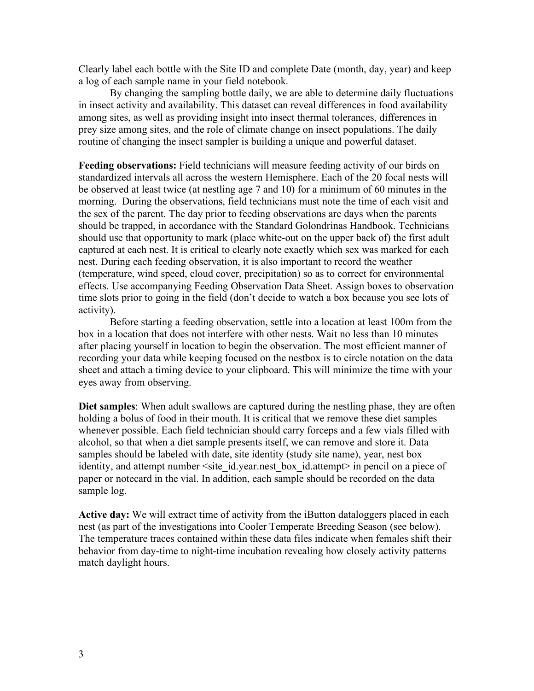Clearly label each bottle with the Site ID and complete Date (month, day, year) and keep a log of each sample name in your field notebook.

By changing the sampling bottle daily, we are able to determine daily fluctuations in insect activity and availability. This dataset can reveal differences in food availability among sites, as well as providing insight into insect thermal tolerances, differences in prey size among sites, and the role of climate change on insect populations. The daily routine of changing the insect sampler is building a unique and powerful dataset.

**Feeding observations:** Field technicians will measure feeding activity of our birds on standardized intervals all across the western Hemisphere. Each of the 20 focal nests will be observed at least twice (at nestling age 7 and 10) for a minimum of 60 minutes in the morning. During the observations, field technicians must note the time of each visit and the sex of the parent. The day prior to feeding observations are days when the parents should be trapped, in accordance with the Standard Golondrinas Handbook. Technicians should use that opportunity to mark (place white-out on the upper back of) the first adult captured at each nest. It is critical to clearly note exactly which sex was marked for each nest. During each feeding observation, it is also important to record the weather (temperature, wind speed, cloud cover, precipitation) so as to correct for environmental effects. Use accompanying Feeding Observation Data Sheet. Assign boxes to observation time slots prior to going in the field (don't decide to watch a box because you see lots of activity).

Before starting a feeding observation, settle into a location at least 100m from the box in a location that does not interfere with other nests. Wait no less than 10 minutes after placing yourself in location to begin the observation. The most efficient manner of recording your data while keeping focused on the nestbox is to circle notation on the data sheet and attach a timing device to your clipboard. This will minimize the time with your eyes away from observing.

**Diet samples**: When adult swallows are captured during the nestling phase, they are often holding a bolus of food in their mouth. It is critical that we remove these diet samples whenever possible. Each field technician should carry forceps and a few vials filled with alcohol, so that when a diet sample presents itself, we can remove and store it. Data samples should be labeled with date, site identity (study site name), year, nest box identity, and attempt number  $\leq$ site id.year.nest box id.attempt> in pencil on a piece of paper or notecard in the vial. In addition, each sample should be recorded on the data sample log.

Active day: We will extract time of activity from the iButton dataloggers placed in each nest (as part of the investigations into Cooler Temperate Breeding Season (see below). The temperature traces contained within these data files indicate when females shift their behavior from day-time to night-time incubation revealing how closely activity patterns match daylight hours.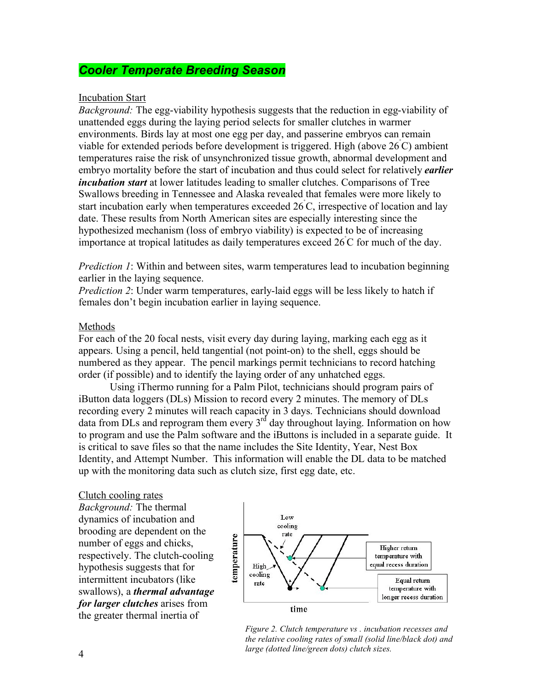## *Cooler Temperate Breeding Season*

#### Incubation Start

*Background:* The egg-viability hypothesis suggests that the reduction in egg-viability of unattended eggs during the laying period selects for smaller clutches in warmer environments. Birds lay at most one egg per day, and passerine embryos can remain viable for extended periods before development is triggered. High (above 26˚ C) ambient temperatures raise the risk of unsynchronized tissue growth, abnormal development and embryo mortality before the start of incubation and thus could select for relatively *earlier incubation start* at lower latitudes leading to smaller clutches. Comparisons of Tree Swallows breeding in Tennessee and Alaska revealed that females were more likely to start incubation early when temperatures exceeded 26˚ C, irrespective of location and lay date. These results from North American sites are especially interesting since the hypothesized mechanism (loss of embryo viability) is expected to be of increasing importance at tropical latitudes as daily temperatures exceed 26˚ C for much of the day.

*Prediction 1*: Within and between sites, warm temperatures lead to incubation beginning earlier in the laying sequence.

*Prediction 2*: Under warm temperatures, early-laid eggs will be less likely to hatch if females don't begin incubation earlier in laying sequence.

#### Methods

For each of the 20 focal nests, visit every day during laying, marking each egg as it appears. Using a pencil, held tangential (not point-on) to the shell, eggs should be numbered as they appear. The pencil markings permit technicians to record hatching order (if possible) and to identify the laying order of any unhatched eggs.

Using iThermo running for a Palm Pilot, technicians should program pairs of iButton data loggers (DLs) Mission to record every 2 minutes. The memory of DLs recording every 2 minutes will reach capacity in 3 days. Technicians should download data from DLs and reprogram them every  $3<sup>rd</sup>$  day throughout laying. Information on how to program and use the Palm software and the iButtons is included in a separate guide. It is critical to save files so that the name includes the Site Identity, Year, Nest Box Identity, and Attempt Number. This information will enable the DL data to be matched up with the monitoring data such as clutch size, first egg date, etc.

#### Clutch cooling rates

*Background:* The thermal dynamics of incubation and brooding are dependent on the number of eggs and chicks, respectively. The clutch-cooling hypothesis suggests that for intermittent incubators (like swallows), a *thermal advantage for larger clutches* arises from the greater thermal inertia of



*Figure 2. Clutch temperature vs . incubation recesses and the relative cooling rates of small (solid line/black dot) and large (dotted line/green dots) clutch sizes.*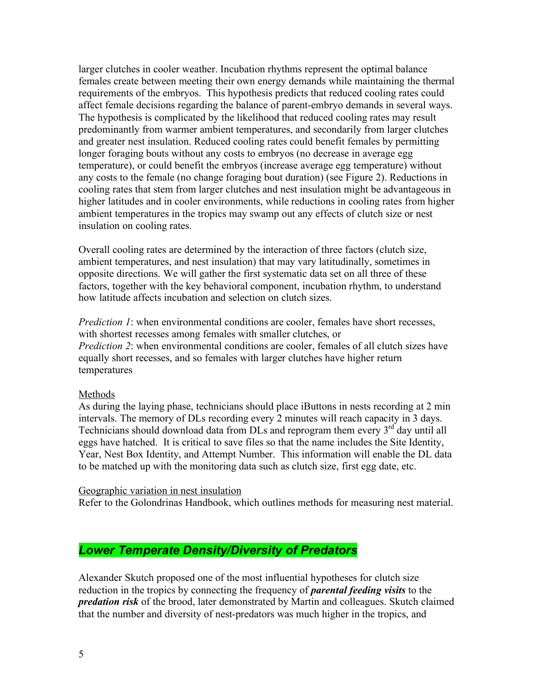larger clutches in cooler weather. Incubation rhythms represent the optimal balance females create between meeting their own energy demands while maintaining the thermal requirements of the embryos. This hypothesis predicts that reduced cooling rates could affect female decisions regarding the balance of parent-embryo demands in several ways. The hypothesis is complicated by the likelihood that reduced cooling rates may result predominantly from warmer ambient temperatures, and secondarily from larger clutches and greater nest insulation. Reduced cooling rates could benefit females by permitting longer foraging bouts without any costs to embryos (no decrease in average egg temperature), or could benefit the embryos (increase average egg temperature) without any costs to the female (no change foraging bout duration) (see Figure 2). Reductions in cooling rates that stem from larger clutches and nest insulation might be advantageous in higher latitudes and in cooler environments, while reductions in cooling rates from higher ambient temperatures in the tropics may swamp out any effects of clutch size or nest insulation on cooling rates.

Overall cooling rates are determined by the interaction of three factors (clutch size, ambient temperatures, and nest insulation) that may vary latitudinally, sometimes in opposite directions. We will gather the first systematic data set on all three of these factors, together with the key behavioral component, incubation rhythm, to understand how latitude affects incubation and selection on clutch sizes.

*Prediction 1*: when environmental conditions are cooler, females have short recesses, with shortest recesses among females with smaller clutches, or *Prediction 2*: when environmental conditions are cooler, females of all clutch sizes have equally short recesses, and so females with larger clutches have higher return temperatures

#### Methods

As during the laying phase, technicians should place iButtons in nests recording at 2 min intervals. The memory of DLs recording every 2 minutes will reach capacity in 3 days. Technicians should download data from  $\text{D}$ Ls and reprogram them every  $3^{\text{rd}}$  day until all eggs have hatched. It is critical to save files so that the name includes the Site Identity, Year, Nest Box Identity, and Attempt Number. This information will enable the DL data to be matched up with the monitoring data such as clutch size, first egg date, etc.

#### Geographic variation in nest insulation

Refer to the Golondrinas Handbook, which outlines methods for measuring nest material.

## *Lower Temperate Density/Diversity of Predators*

Alexander Skutch proposed one of the most influential hypotheses for clutch size reduction in the tropics by connecting the frequency of *parental feeding visits* to the *predation risk* of the brood, later demonstrated by Martin and colleagues. Skutch claimed that the number and diversity of nest-predators was much higher in the tropics, and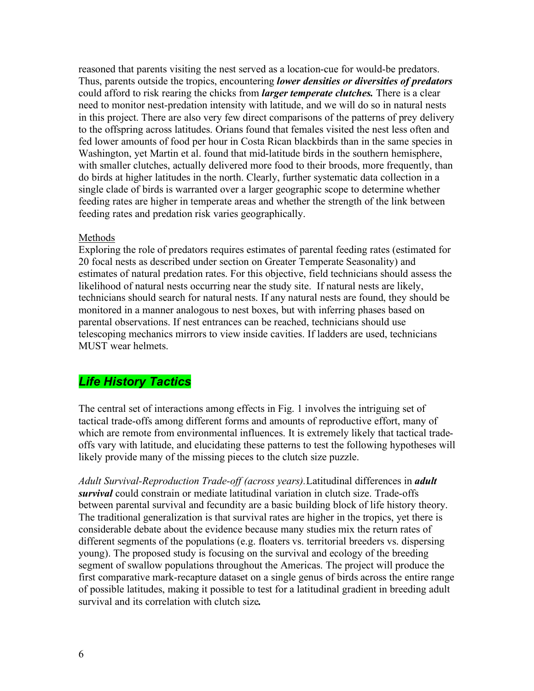reasoned that parents visiting the nest served as a location-cue for would-be predators. Thus, parents outside the tropics, encountering *lower densities or diversities of predators*  could afford to risk rearing the chicks from *larger temperate clutches.* There is a clear need to monitor nest-predation intensity with latitude, and we will do so in natural nests in this project. There are also very few direct comparisons of the patterns of prey delivery to the offspring across latitudes. Orians found that females visited the nest less often and fed lower amounts of food per hour in Costa Rican blackbirds than in the same species in Washington, yet Martin et al. found that mid-latitude birds in the southern hemisphere, with smaller clutches, actually delivered more food to their broods, more frequently, than do birds at higher latitudes in the north. Clearly, further systematic data collection in a single clade of birds is warranted over a larger geographic scope to determine whether feeding rates are higher in temperate areas and whether the strength of the link between feeding rates and predation risk varies geographically.

#### Methods

Exploring the role of predators requires estimates of parental feeding rates (estimated for 20 focal nests as described under section on Greater Temperate Seasonality) and estimates of natural predation rates. For this objective, field technicians should assess the likelihood of natural nests occurring near the study site. If natural nests are likely, technicians should search for natural nests. If any natural nests are found, they should be monitored in a manner analogous to nest boxes, but with inferring phases based on parental observations. If nest entrances can be reached, technicians should use telescoping mechanics mirrors to view inside cavities. If ladders are used, technicians MUST wear helmets.

## *Life History Tactics*

The central set of interactions among effects in Fig. 1 involves the intriguing set of tactical trade-offs among different forms and amounts of reproductive effort, many of which are remote from environmental influences. It is extremely likely that tactical tradeoffs vary with latitude, and elucidating these patterns to test the following hypotheses will likely provide many of the missing pieces to the clutch size puzzle.

*Adult Survival-Reproduction Trade-off (across years).*Latitudinal differences in *adult survival* could constrain or mediate latitudinal variation in clutch size. Trade-offs between parental survival and fecundity are a basic building block of life history theory. The traditional generalization is that survival rates are higher in the tropics, yet there is considerable debate about the evidence because many studies mix the return rates of different segments of the populations (e.g. floaters vs. territorial breeders vs. dispersing young). The proposed study is focusing on the survival and ecology of the breeding segment of swallow populations throughout the Americas. The project will produce the first comparative mark-recapture dataset on a single genus of birds across the entire range of possible latitudes, making it possible to test for a latitudinal gradient in breeding adult survival and its correlation with clutch size*.*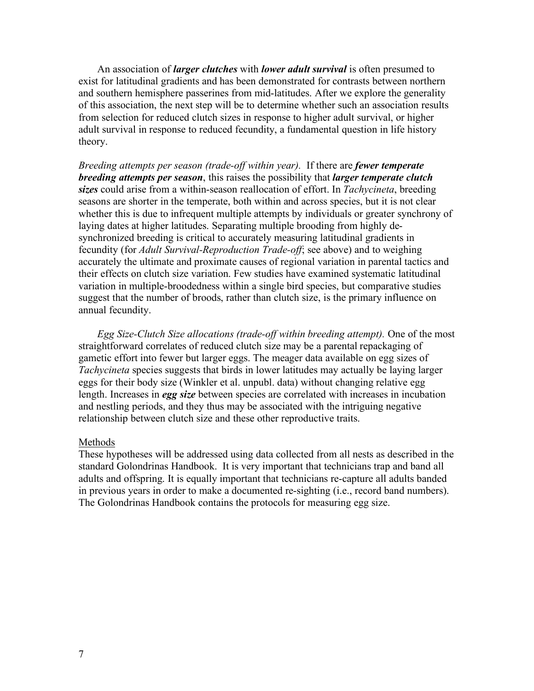An association of *larger clutches* with *lower adult survival* is often presumed to exist for latitudinal gradients and has been demonstrated for contrasts between northern and southern hemisphere passerines from mid-latitudes. After we explore the generality of this association, the next step will be to determine whether such an association results from selection for reduced clutch sizes in response to higher adult survival, or higher adult survival in response to reduced fecundity, a fundamental question in life history theory.

*Breeding attempts per season (trade-off within year).* If there are *fewer temperate breeding attempts per season*, this raises the possibility that *larger temperate clutch sizes* could arise from a within-season reallocation of effort. In *Tachycineta*, breeding seasons are shorter in the temperate, both within and across species, but it is not clear whether this is due to infrequent multiple attempts by individuals or greater synchrony of laying dates at higher latitudes. Separating multiple brooding from highly desynchronized breeding is critical to accurately measuring latitudinal gradients in fecundity (for *Adult Survival-Reproduction Trade-off*; see above) and to weighing accurately the ultimate and proximate causes of regional variation in parental tactics and their effects on clutch size variation. Few studies have examined systematic latitudinal variation in multiple-broodedness within a single bird species, but comparative studies suggest that the number of broods, rather than clutch size, is the primary influence on annual fecundity.

*Egg Size-Clutch Size allocations (trade-off within breeding attempt).* One of the most straightforward correlates of reduced clutch size may be a parental repackaging of gametic effort into fewer but larger eggs. The meager data available on egg sizes of *Tachycineta* species suggests that birds in lower latitudes may actually be laying larger eggs for their body size (Winkler et al. unpubl. data) without changing relative egg length. Increases in *egg size* between species are correlated with increases in incubation and nestling periods, and they thus may be associated with the intriguing negative relationship between clutch size and these other reproductive traits.

#### Methods

These hypotheses will be addressed using data collected from all nests as described in the standard Golondrinas Handbook. It is very important that technicians trap and band all adults and offspring. It is equally important that technicians re-capture all adults banded in previous years in order to make a documented re-sighting (i.e., record band numbers). The Golondrinas Handbook contains the protocols for measuring egg size.